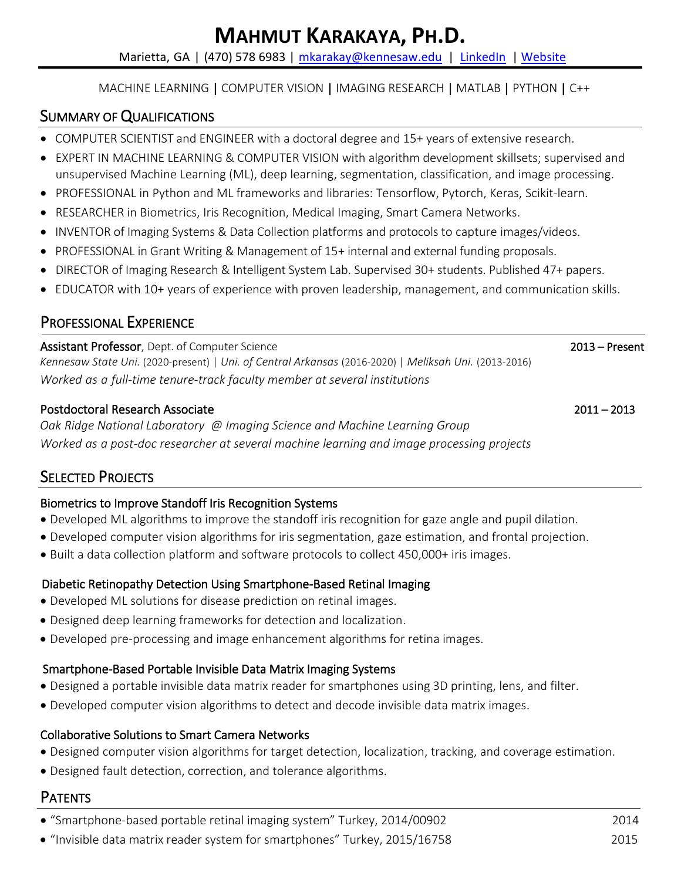#### MACHINE LEARNING | COMPUTER VISION | IMAGING RESEARCH | MATLAB | PYTHON | C++

## SUMMARY OF QUALIFICATIONS

- COMPUTER SCIENTIST and ENGINEER with a doctoral degree and 15+ years of extensive research.
- EXPERT IN MACHINE LEARNING & COMPUTER VISION with algorithm development skillsets; supervised and unsupervised Machine Learning (ML), deep learning, segmentation, classification, and image processing.
- PROFESSIONAL in Python and ML frameworks and libraries: Tensorflow, Pytorch, Keras, Scikit-learn.
- RESEARCHER in Biometrics, Iris Recognition, Medical Imaging, Smart Camera Networks.
- INVENTOR of Imaging Systems & Data Collection platforms and protocols to capture images/videos.
- PROFESSIONAL in Grant Writing & Management of 15+ internal and external funding proposals.
- DIRECTOR of Imaging Research & Intelligent System Lab. Supervised 30+ students. Published 47+ papers.
- EDUCATOR with 10+ years of experience with proven leadership, management, and communication skills.

# PROFESSIONAL EXPERIENCE

Assistant Professor, Dept. of Computer Science 2013 – Present *Kennesaw State Uni.* (2020-present) | *Uni. of Central Arkansas* (2016-2020) | *Meliksah Uni.* (2013-2016) *Worked as a full-time tenure-track faculty member at several institutions*

#### Postdoctoral Research Associate 2011 – 2013

*Oak Ridge National Laboratory @ Imaging Science and Machine Learning Group Worked as a post-doc researcher at several machine learning and image processing projects*

# SELECTED PROJECTS

#### Biometrics to Improve Standoff Iris Recognition Systems

- Developed ML algorithms to improve the standoff iris recognition for gaze angle and pupil dilation.
- Developed computer vision algorithms for iris segmentation, gaze estimation, and frontal projection.
- Built a data collection platform and software protocols to collect 450,000+ iris images.

#### Diabetic Retinopathy Detection Using Smartphone-Based Retinal Imaging

- Developed ML solutions for disease prediction on retinal images.
- Designed deep learning frameworks for detection and localization.
- Developed pre-processing and image enhancement algorithms for retina images.

#### Smartphone-Based Portable Invisible Data Matrix Imaging Systems

- Designed a portable invisible data matrix reader for smartphones using 3D printing, lens, and filter.
- Developed computer vision algorithms to detect and decode invisible data matrix images.

#### Collaborative Solutions to Smart Camera Networks

- Designed computer vision algorithms for target detection, localization, tracking, and coverage estimation.
- Designed fault detection, correction, and tolerance algorithms.

# PATENTS

- "Smartphone-based portable retinal imaging system" Turkey, 2014/00902 2014
- "Invisible data matrix reader system for smartphones" Turkey, 2015/16758 2015